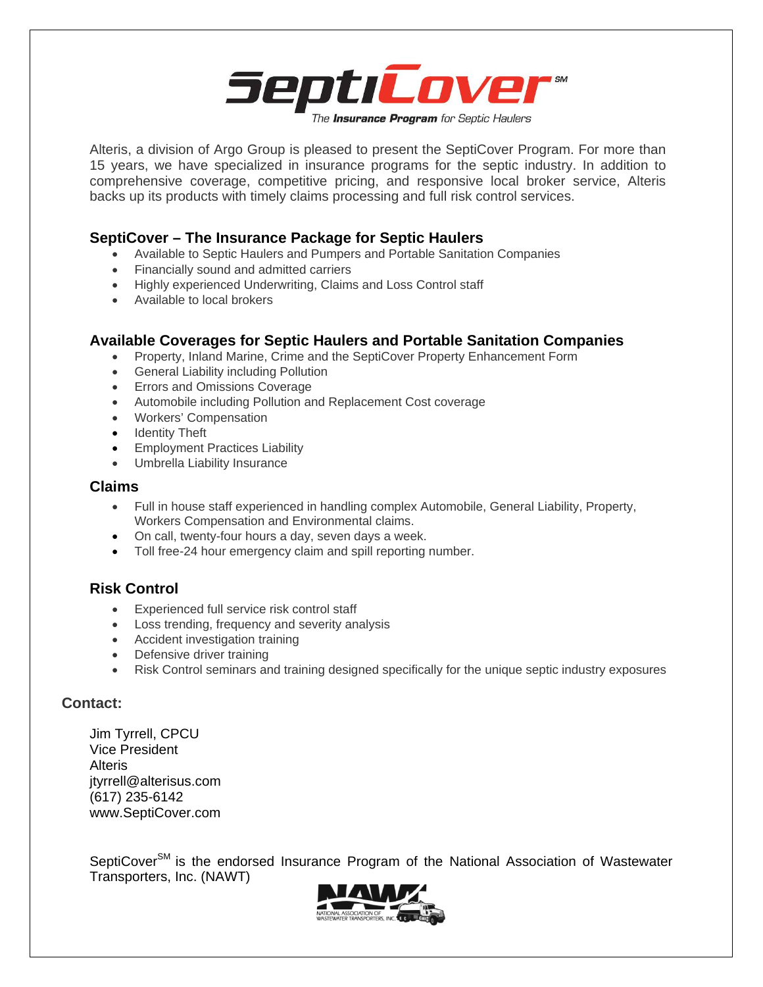

Alteris, a division of Argo Group is pleased to present the SeptiCover Program. For more than 15 years, we have specialized in insurance programs for the septic industry. In addition to comprehensive coverage, competitive pricing, and responsive local broker service, Alteris backs up its products with timely claims processing and full risk control services.

## **SeptiCover – The Insurance Package for Septic Haulers**

- Available to Septic Haulers and Pumpers and Portable Sanitation Companies
- Financially sound and admitted carriers
- Highly experienced Underwriting, Claims and Loss Control staff
- Available to local brokers

### **Available Coverages for Septic Haulers and Portable Sanitation Companies**

- Property, Inland Marine, Crime and the SeptiCover Property Enhancement Form
- **•** General Liability including Pollution
- **•** Errors and Omissions Coverage
- Automobile including Pollution and Replacement Cost coverage
- Workers' Compensation
- Identity Theft
- Employment Practices Liability
- Umbrella Liability Insurance

#### **Claims**

- Full in house staff experienced in handling complex Automobile, General Liability, Property, Workers Compensation and Environmental claims.
- On call, twenty-four hours a day, seven days a week.
- Toll free-24 hour emergency claim and spill reporting number.

## **Risk Control**

- Experienced full service risk control staff
- Loss trending, frequency and severity analysis
- Accident investigation training
- Defensive driver training
- Risk Control seminars and training designed specifically for the unique septic industry exposures

#### **Contact:**

Jim Tyrrell, CPCU Vice President Alteris jtyrrell@alterisus.com (617) 235-6142 www.SeptiCover.com

SeptiCover<sup>SM</sup> is the endorsed Insurance Program of the National Association of Wastewater Transporters, Inc. (NAWT)